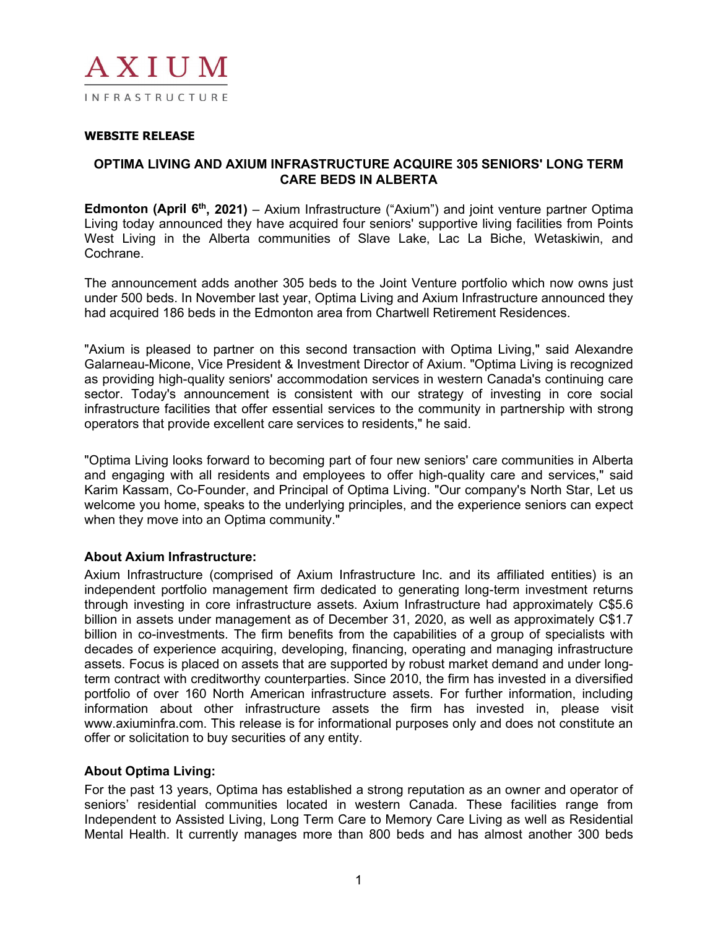

## **WEBSITE RELEASE**

## **OPTIMA LIVING AND AXIUM INFRASTRUCTURE ACQUIRE 305 SENIORS' LONG TERM CARE BEDS IN ALBERTA**

**Edmonton (April 6<sup>th</sup>, 2021)** – Axium Infrastructure ("Axium") and joint venture partner Optima Living today announced they have acquired four seniors' supportive living facilities from Points West Living in the Alberta communities of Slave Lake, Lac La Biche, Wetaskiwin, and Cochrane.

The announcement adds another 305 beds to the Joint Venture portfolio which now owns just under 500 beds. In November last year, Optima Living and Axium Infrastructure announced they had acquired 186 beds in the Edmonton area from Chartwell Retirement Residences.

"Axium is pleased to partner on this second transaction with Optima Living," said Alexandre Galarneau-Micone, Vice President & Investment Director of Axium. "Optima Living is recognized as providing high-quality seniors' accommodation services in western Canada's continuing care sector. Today's announcement is consistent with our strategy of investing in core social infrastructure facilities that offer essential services to the community in partnership with strong operators that provide excellent care services to residents," he said.

"Optima Living looks forward to becoming part of four new seniors' care communities in Alberta and engaging with all residents and employees to offer high-quality care and services," said Karim Kassam, Co-Founder, and Principal of Optima Living. "Our company's North Star, Let us welcome you home, speaks to the underlying principles, and the experience seniors can expect when they move into an Optima community."

#### **About Axium Infrastructure:**

Axium Infrastructure (comprised of Axium Infrastructure Inc. and its affiliated entities) is an independent portfolio management firm dedicated to generating long-term investment returns through investing in core infrastructure assets. Axium Infrastructure had approximately C\$5.6 billion in assets under management as of December 31, 2020, as well as approximately C\$1.7 billion in co-investments. The firm benefits from the capabilities of a group of specialists with decades of experience acquiring, developing, financing, operating and managing infrastructure assets. Focus is placed on assets that are supported by robust market demand and under longterm contract with creditworthy counterparties. Since 2010, the firm has invested in a diversified portfolio of over 160 North American infrastructure assets. For further information, including information about other infrastructure assets the firm has invested in, please visit www.axiuminfra.com. This release is for informational purposes only and does not constitute an offer or solicitation to buy securities of any entity.

# **About Optima Living:**

For the past 13 years, Optima has established a strong reputation as an owner and operator of seniors' residential communities located in western Canada. These facilities range from Independent to Assisted Living, Long Term Care to Memory Care Living as well as Residential Mental Health. It currently manages more than 800 beds and has almost another 300 beds